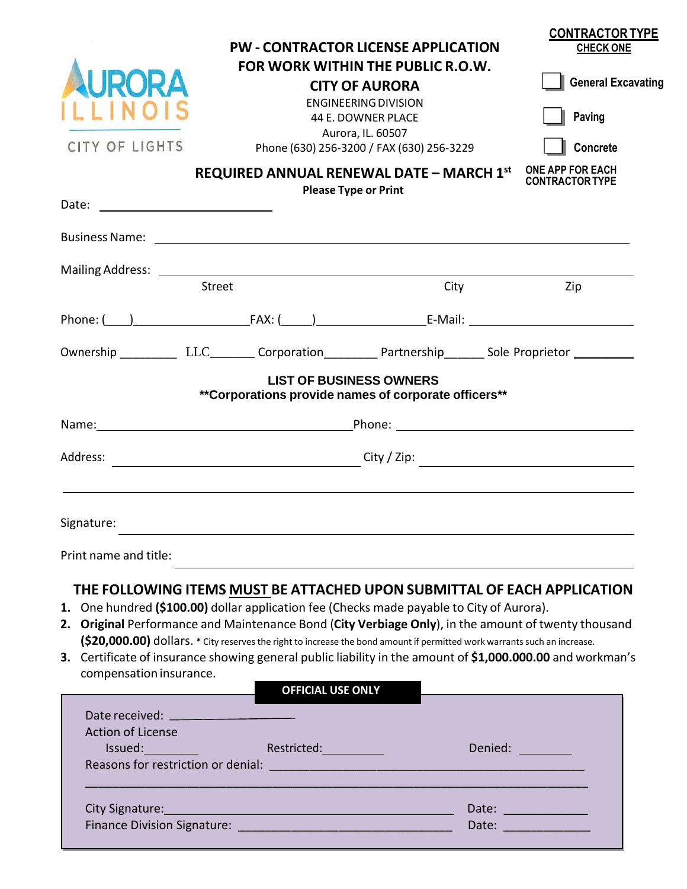| CITY OF LIGHTS                                                                                                                                                                                                                                                                                                                                                                                                                                                         | <b>PW - CONTRACTOR LICENSE APPLICATION</b><br>REQUIRED ANNUAL RENEWAL DATE - MARCH 1st                                | FOR WORK WITHIN THE PUBLIC R.O.W.<br><b>CITY OF AURORA</b><br><b>ENGINEERING DIVISION</b><br>44 E. DOWNER PLACE<br>Aurora, IL. 60507<br>Phone (630) 256-3200 / FAX (630) 256-3229<br><b>Please Type or Print</b> | <b>CONTRACTOR TYPE</b><br><b>CHECK ONE</b><br><b>General Excavating</b><br>Paving<br><b>Concrete</b><br><b>ONE APP FOR EACH</b><br><b>CONTRACTOR TYPE</b> |
|------------------------------------------------------------------------------------------------------------------------------------------------------------------------------------------------------------------------------------------------------------------------------------------------------------------------------------------------------------------------------------------------------------------------------------------------------------------------|-----------------------------------------------------------------------------------------------------------------------|------------------------------------------------------------------------------------------------------------------------------------------------------------------------------------------------------------------|-----------------------------------------------------------------------------------------------------------------------------------------------------------|
|                                                                                                                                                                                                                                                                                                                                                                                                                                                                        |                                                                                                                       |                                                                                                                                                                                                                  |                                                                                                                                                           |
|                                                                                                                                                                                                                                                                                                                                                                                                                                                                        |                                                                                                                       |                                                                                                                                                                                                                  |                                                                                                                                                           |
| <b>Street</b>                                                                                                                                                                                                                                                                                                                                                                                                                                                          |                                                                                                                       | City                                                                                                                                                                                                             | Zip                                                                                                                                                       |
|                                                                                                                                                                                                                                                                                                                                                                                                                                                                        |                                                                                                                       |                                                                                                                                                                                                                  |                                                                                                                                                           |
| Ownership ___________ LLC_________ Corporation___________ Partnership________ Sole Proprietor ___________                                                                                                                                                                                                                                                                                                                                                              |                                                                                                                       |                                                                                                                                                                                                                  |                                                                                                                                                           |
|                                                                                                                                                                                                                                                                                                                                                                                                                                                                        | <b>LIST OF BUSINESS OWNERS</b><br>**Corporations provide names of corporate officers**                                |                                                                                                                                                                                                                  |                                                                                                                                                           |
| Name: Name: Name: Name: Name: Name: Name: Name: Name: Name: Name: Name: Name: Name: Name: Name: Name: Name: Name: Name: Name: Name: Name: Name: Name: Name: Name: Name: Name: Name: Name: Name: Name: Name: Name: Name: Name:                                                                                                                                                                                                                                          |                                                                                                                       |                                                                                                                                                                                                                  |                                                                                                                                                           |
| Address:                                                                                                                                                                                                                                                                                                                                                                                                                                                               |                                                                                                                       |                                                                                                                                                                                                                  |                                                                                                                                                           |
|                                                                                                                                                                                                                                                                                                                                                                                                                                                                        |                                                                                                                       |                                                                                                                                                                                                                  |                                                                                                                                                           |
| Signature:                                                                                                                                                                                                                                                                                                                                                                                                                                                             |                                                                                                                       |                                                                                                                                                                                                                  |                                                                                                                                                           |
| Print name and title:                                                                                                                                                                                                                                                                                                                                                                                                                                                  |                                                                                                                       |                                                                                                                                                                                                                  |                                                                                                                                                           |
| 1. One hundred (\$100.00) dollar application fee (Checks made payable to City of Aurora).<br>2. Original Performance and Maintenance Bond (City Verbiage Only), in the amount of twenty thousand<br>(\$20,000.00) dollars. * City reserves the right to increase the bond amount if permitted work warrants such an increase.<br>3. Certificate of insurance showing general public liability in the amount of \$1,000.000.00 and workman's<br>compensation insurance. | <b>OFFICIAL USE ONLY</b>                                                                                              |                                                                                                                                                                                                                  | THE FOLLOWING ITEMS MUST BE ATTACHED UPON SUBMITTAL OF EACH APPLICATION                                                                                   |
| Date received: ________________________                                                                                                                                                                                                                                                                                                                                                                                                                                |                                                                                                                       |                                                                                                                                                                                                                  |                                                                                                                                                           |
| <b>Action of License</b><br>Reasons for restriction or denial: National Contract of the Reasons for restriction or denial                                                                                                                                                                                                                                                                                                                                              | Issued: The Restricted: The Restricted:                                                                               |                                                                                                                                                                                                                  | Denied: <u>_______</u>                                                                                                                                    |
| City Signature:                                                                                                                                                                                                                                                                                                                                                                                                                                                        | <u> 1980 - Johann Barn, mars ann an t-Amhain ann an t-Amhain an t-Amhain an t-Amhain an t-Amhain ann an t-Amhain </u> |                                                                                                                                                                                                                  | Date:<br>Date: <u>___________</u>                                                                                                                         |